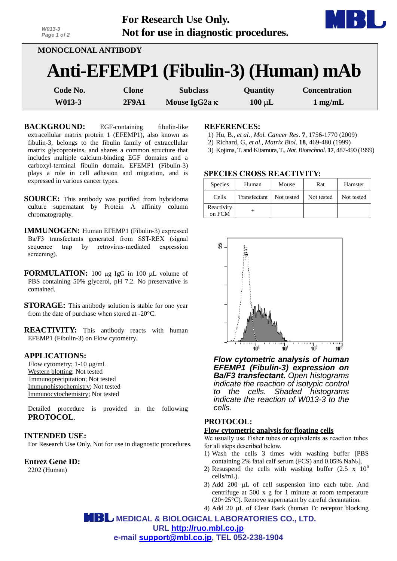| W013-3<br>Page 1 of 2                                             |              | For Research Use Only.<br>Not for use in diagnostic procedures. |          |                      |  |  |
|-------------------------------------------------------------------|--------------|-----------------------------------------------------------------|----------|----------------------|--|--|
| <b>MONOCLONAL ANTIBODY</b><br>Anti-EFEMP1 (Fibulin-3) (Human) mAb |              |                                                                 |          |                      |  |  |
|                                                                   |              |                                                                 |          |                      |  |  |
| Code No.                                                          | <b>Clone</b> | <b>Subclass</b>                                                 | Quantity | <b>Concentration</b> |  |  |

**W013-3** 2F9A1 Mouse  $IgG2a \kappa$  100  $\mu$ L 1 mg/mL

**BACKGROUND:** EGF-containing fibulin-like extracellular matrix protein 1 (EFEMP1), also known as fibulin-3, belongs to the fibulin family of extracellular matrix glycoproteins, and shares a common structure that includes multiple calcium-binding EGF domains and a carboxyl-terminal fibulin domain. EFEMP1 (Fibulin-3) plays a role in cell adhesion and migration, and is expressed in various cancer types.

*2*

**SOURCE:** This antibody was purified from hybridoma culture supernatant by Protein A affinity column chromatography.

**IMMUNOGEN:** Human EFEMP1 (Fibulin-3) expressed Ba/F3 transfectants generated from SST-REX (signal sequence trap by retrovirus-mediated expression screening).

**FORMULATION:** 100 µg IgG in 100 µL volume of PBS containing 50% glycerol, pH 7.2. No preservative is contained.

**STORAGE:** This antibody solution is stable for one year from the date of purchase when stored at -20°C.

**REACTIVITY:** This antibody reacts with human EFEMP1 (Fibulin-3) on Flow cytometry.

#### **APPLICATIONS:**

Flow cytometry;  $1-10 \mu g/mL$ Western blotting; Not tested Immunoprecipitation; Not tested Immunohistochemistry; Not tested Immunocytochemistry; Not tested

Detailed procedure is provided in the following **PROTOCOL**.

### **INTENDED USE:**

For Research Use Only. Not for use in diagnostic procedures.

**Entrez Gene ID:** 2202 (Human)

#### **REFERENCES:**

- 1) Hu, B., *et al*., *Mol. Cancer Res*. **7**, 1756-1770 (2009)
- 2) Richard, G., *et al*., *Matrix Biol.* **18**, 469-480 (1999)
- 3) Kojima, T. and Kitamura, T., *Nat. Biotechnol.* **17**, 487-490 (1999)

### **SPECIES CROSS REACTIVITY:**

| <b>Species</b>       | Human        | Mouse      | Rat        | Hamster    |
|----------------------|--------------|------------|------------|------------|
| Cells                | Transfectant | Not tested | Not tested | Not tested |
| Reactivity<br>on FCM |              |            |            |            |



*Flow cytometric analysis of human EFEMP1 (Fibulin-3) expression on Ba/F3 transfectant. Open histograms indicate the reaction of isotypic control to the cells. Shaded histograms indicate the reaction of W013-3 to the cells.*

# **PROTOCOL:**

#### **Flow cytometric analysis for floating cells**

We usually use Fisher tubes or equivalents as reaction tubes for all steps described below.

- 1) Wash the cells 3 times with washing buffer [PBS containing 2% fatal calf serum (FCS) and  $0.05\%$  NaN<sub>3</sub>].
- 2) Resuspend the cells with washing buffer  $(2.5 \times 10^6$ cells/mL).
- 3) Add 200  $\mu$ L of cell suspension into each tube. And centrifuge at 500 x g for 1 minute at room temperature (20~25°C). Remove supernatant by careful decantation.
- 4) Add 20  $\mu$ L of Clear Back (human Fc receptor blocking

 **MEDICAL & BIOLOGICAL LABORATORIES CO., LTD. URL [http://ruo.mbl.co.jp](http://ruo.mbl.co.jp/) e-mail [support@mbl.co.jp,](mailto:support@mbl.co.jp) TEL 052-238-1904**